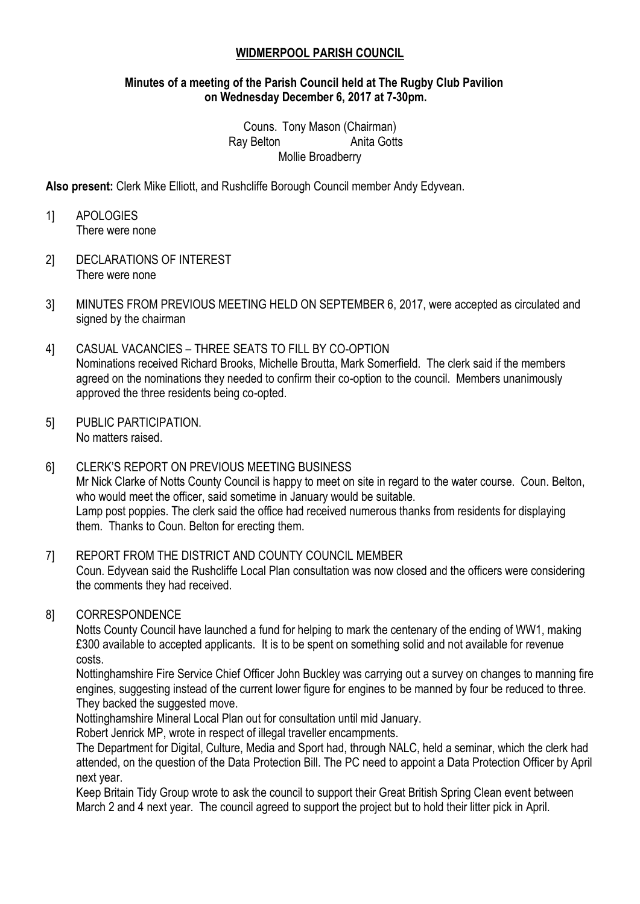### **WIDMERPOOL PARISH COUNCIL**

#### **Minutes of a meeting of the Parish Council held at The Rugby Club Pavilion on Wednesday December 6, 2017 at 7-30pm.**

Couns. Tony Mason (Chairman) Ray Belton **Anita Gotts** Mollie Broadberry

**Also present:** Clerk Mike Elliott, and Rushcliffe Borough Council member Andy Edyvean.

1] APOLOGIES There were none

- 2] DECLARATIONS OF INTEREST There were none
- 3] MINUTES FROM PREVIOUS MEETING HELD ON SEPTEMBER 6, 2017, were accepted as circulated and signed by the chairman
- 4] CASUAL VACANCIES THREE SEATS TO FILL BY CO-OPTION Nominations received Richard Brooks, Michelle Broutta, Mark Somerfield. The clerk said if the members agreed on the nominations they needed to confirm their co-option to the council. Members unanimously approved the three residents being co-opted.
- 5] PUBLIC PARTICIPATION. No matters raised.

6] CLERK'S REPORT ON PREVIOUS MEETING BUSINESS Mr Nick Clarke of Notts County Council is happy to meet on site in regard to the water course. Coun. Belton, who would meet the officer, said sometime in January would be suitable. Lamp post poppies. The clerk said the office had received numerous thanks from residents for displaying them. Thanks to Coun. Belton for erecting them.

# 7] REPORT FROM THE DISTRICT AND COUNTY COUNCIL MEMBER

Coun. Edyvean said the Rushcliffe Local Plan consultation was now closed and the officers were considering the comments they had received.

#### 8] CORRESPONDENCE

Notts County Council have launched a fund for helping to mark the centenary of the ending of WW1, making £300 available to accepted applicants. It is to be spent on something solid and not available for revenue costs.

Nottinghamshire Fire Service Chief Officer John Buckley was carrying out a survey on changes to manning fire engines, suggesting instead of the current lower figure for engines to be manned by four be reduced to three. They backed the suggested move.

Nottinghamshire Mineral Local Plan out for consultation until mid January.

Robert Jenrick MP, wrote in respect of illegal traveller encampments.

The Department for Digital, Culture, Media and Sport had, through NALC, held a seminar, which the clerk had attended, on the question of the Data Protection Bill. The PC need to appoint a Data Protection Officer by April next year.

Keep Britain Tidy Group wrote to ask the council to support their Great British Spring Clean event between March 2 and 4 next year. The council agreed to support the project but to hold their litter pick in April.